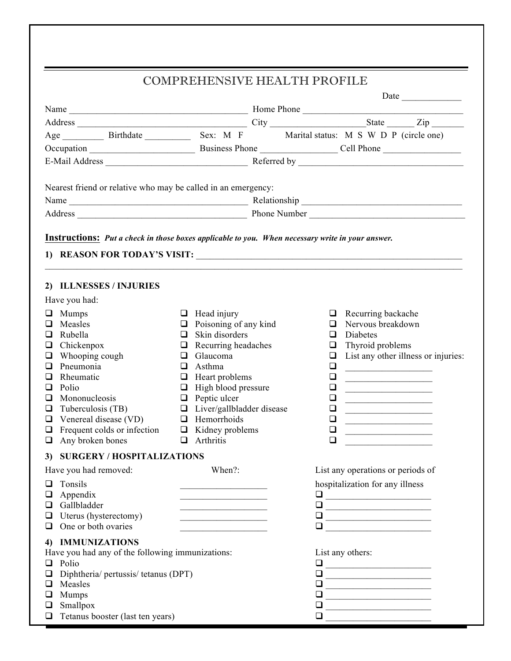## COMPREHENSIVE HEALTH PROFILE

| Nearest friend or relative who may be called in an emergency:<br><b>Instructions:</b> Put a check in those boxes applicable to you. When necessary write in your answer.<br>2) ILLNESSES / INJURIES<br>Have you had:<br>$\Box$ Head injury<br>Mumps<br>$\Box$ Recurring backache<br>u<br>$\Box$ Poisoning of any kind<br>Nervous breakdown<br>Measles<br>◻<br>□<br>$\Box$ Skin disorders<br>Rubella<br>□<br>Diabetes<br>ப<br>Thyroid problems<br>Chickenpox<br>Recurring headaches<br>❏<br>❏<br>⊔<br>List any other illness or injuries:<br>Whooping cough<br>Glaucoma<br>$\Box$<br>u<br>⊔<br>Pneumonia<br>Asthma<br>❏<br>□<br>ப<br>Rheumatic<br>Heart problems<br>❏<br>ப<br>❏<br><u> 1989 - Johann Barbara, martxa al III-lea (h. 1989).</u><br>$\Box$ High blood pressure<br>Polio<br>ப<br>⊔<br><u> 1989 - Johann Stoff, fransk kampbeskip og det</u><br>Mononucleosis<br>$\Box$ Peptic ulcer<br>❏<br>□<br><u> 1989 - Johann Harry Harry Harry Harry Harry Harry Harry Harry Harry Harry Harry Harry Harry Harry Harry Harry</u><br>$\Box$ Liver/gallbladder disease<br>Tuberculosis (TB)<br>❏<br>❏<br>$\Box$ Hemorrhoids<br>Venereal disease (VD)<br>❏<br>❏<br>Frequent colds or infection $\qquad \qquad \Box$ Kidney problems<br>❏<br>❏<br>Any broken bones<br>$\Box$ Arthritis<br>$\Box$<br>❏<br>3) SURGERY / HOSPITALIZATIONS<br>When?:<br>Have you had removed:<br>List any operations or periods of<br>hospitalization for any illness<br>Tonsils<br>ப<br>Appendix<br>$\Box$<br>⊔<br>the control of the control of the control of the control of the control of the control of<br>Gallbladder<br>$\Box$<br>O<br><u> 1989 - Johann John Stein, mars eta biztanleria (</u><br>Uterus (hysterectomy)<br>❏<br>u<br><u> 1989 - Johann John Stone, mars eta biztanleria (</u><br>the control of the control of the control of<br>One or both ovaries<br>❏<br>⊔<br><u> 1989 - Jan Stein Stein, marwolaeth a bh</u><br><b>IMMUNIZATIONS</b><br>4)<br>Have you had any of the following immunizations:<br>List any others:<br>Polio<br>$\Box$<br>⊔<br>Diphtheria/ pertussis/ tetanus (DPT)<br>❏<br>❏<br>Measles<br>❏<br>⊔<br><u> 1989 - Johann Barn, mars ar breithinn ar breithinn ar breithinn ar breithinn ar breithinn ar breithinn ar br</u><br>Mumps<br>❏<br>❏<br><u> 1989 - Johann John Stein, meil am der Schwarzer (d. 1989)</u><br>Smallpox<br>❏<br>⊔<br><u> 1989 - Johann Barn, mars an t-Amerikaansk politiker (</u><br>Tetanus booster (last ten years)<br>❏<br>❏ |  |  |  |  |  | Date |  |
|--------------------------------------------------------------------------------------------------------------------------------------------------------------------------------------------------------------------------------------------------------------------------------------------------------------------------------------------------------------------------------------------------------------------------------------------------------------------------------------------------------------------------------------------------------------------------------------------------------------------------------------------------------------------------------------------------------------------------------------------------------------------------------------------------------------------------------------------------------------------------------------------------------------------------------------------------------------------------------------------------------------------------------------------------------------------------------------------------------------------------------------------------------------------------------------------------------------------------------------------------------------------------------------------------------------------------------------------------------------------------------------------------------------------------------------------------------------------------------------------------------------------------------------------------------------------------------------------------------------------------------------------------------------------------------------------------------------------------------------------------------------------------------------------------------------------------------------------------------------------------------------------------------------------------------------------------------------------------------------------------------------------------------------------------------------------------------------------------------------------------------------------------------------------------------------------------------------------------------------------------------------------------------------------------------------------------------------------------------------------------------------------------------------------------------------------------------------------------------|--|--|--|--|--|------|--|
|                                                                                                                                                                                                                                                                                                                                                                                                                                                                                                                                                                                                                                                                                                                                                                                                                                                                                                                                                                                                                                                                                                                                                                                                                                                                                                                                                                                                                                                                                                                                                                                                                                                                                                                                                                                                                                                                                                                                                                                                                                                                                                                                                                                                                                                                                                                                                                                                                                                                                |  |  |  |  |  |      |  |
|                                                                                                                                                                                                                                                                                                                                                                                                                                                                                                                                                                                                                                                                                                                                                                                                                                                                                                                                                                                                                                                                                                                                                                                                                                                                                                                                                                                                                                                                                                                                                                                                                                                                                                                                                                                                                                                                                                                                                                                                                                                                                                                                                                                                                                                                                                                                                                                                                                                                                |  |  |  |  |  |      |  |
|                                                                                                                                                                                                                                                                                                                                                                                                                                                                                                                                                                                                                                                                                                                                                                                                                                                                                                                                                                                                                                                                                                                                                                                                                                                                                                                                                                                                                                                                                                                                                                                                                                                                                                                                                                                                                                                                                                                                                                                                                                                                                                                                                                                                                                                                                                                                                                                                                                                                                |  |  |  |  |  |      |  |
|                                                                                                                                                                                                                                                                                                                                                                                                                                                                                                                                                                                                                                                                                                                                                                                                                                                                                                                                                                                                                                                                                                                                                                                                                                                                                                                                                                                                                                                                                                                                                                                                                                                                                                                                                                                                                                                                                                                                                                                                                                                                                                                                                                                                                                                                                                                                                                                                                                                                                |  |  |  |  |  |      |  |
|                                                                                                                                                                                                                                                                                                                                                                                                                                                                                                                                                                                                                                                                                                                                                                                                                                                                                                                                                                                                                                                                                                                                                                                                                                                                                                                                                                                                                                                                                                                                                                                                                                                                                                                                                                                                                                                                                                                                                                                                                                                                                                                                                                                                                                                                                                                                                                                                                                                                                |  |  |  |  |  |      |  |
|                                                                                                                                                                                                                                                                                                                                                                                                                                                                                                                                                                                                                                                                                                                                                                                                                                                                                                                                                                                                                                                                                                                                                                                                                                                                                                                                                                                                                                                                                                                                                                                                                                                                                                                                                                                                                                                                                                                                                                                                                                                                                                                                                                                                                                                                                                                                                                                                                                                                                |  |  |  |  |  |      |  |
|                                                                                                                                                                                                                                                                                                                                                                                                                                                                                                                                                                                                                                                                                                                                                                                                                                                                                                                                                                                                                                                                                                                                                                                                                                                                                                                                                                                                                                                                                                                                                                                                                                                                                                                                                                                                                                                                                                                                                                                                                                                                                                                                                                                                                                                                                                                                                                                                                                                                                |  |  |  |  |  |      |  |
|                                                                                                                                                                                                                                                                                                                                                                                                                                                                                                                                                                                                                                                                                                                                                                                                                                                                                                                                                                                                                                                                                                                                                                                                                                                                                                                                                                                                                                                                                                                                                                                                                                                                                                                                                                                                                                                                                                                                                                                                                                                                                                                                                                                                                                                                                                                                                                                                                                                                                |  |  |  |  |  |      |  |
|                                                                                                                                                                                                                                                                                                                                                                                                                                                                                                                                                                                                                                                                                                                                                                                                                                                                                                                                                                                                                                                                                                                                                                                                                                                                                                                                                                                                                                                                                                                                                                                                                                                                                                                                                                                                                                                                                                                                                                                                                                                                                                                                                                                                                                                                                                                                                                                                                                                                                |  |  |  |  |  |      |  |
|                                                                                                                                                                                                                                                                                                                                                                                                                                                                                                                                                                                                                                                                                                                                                                                                                                                                                                                                                                                                                                                                                                                                                                                                                                                                                                                                                                                                                                                                                                                                                                                                                                                                                                                                                                                                                                                                                                                                                                                                                                                                                                                                                                                                                                                                                                                                                                                                                                                                                |  |  |  |  |  |      |  |
|                                                                                                                                                                                                                                                                                                                                                                                                                                                                                                                                                                                                                                                                                                                                                                                                                                                                                                                                                                                                                                                                                                                                                                                                                                                                                                                                                                                                                                                                                                                                                                                                                                                                                                                                                                                                                                                                                                                                                                                                                                                                                                                                                                                                                                                                                                                                                                                                                                                                                |  |  |  |  |  |      |  |
|                                                                                                                                                                                                                                                                                                                                                                                                                                                                                                                                                                                                                                                                                                                                                                                                                                                                                                                                                                                                                                                                                                                                                                                                                                                                                                                                                                                                                                                                                                                                                                                                                                                                                                                                                                                                                                                                                                                                                                                                                                                                                                                                                                                                                                                                                                                                                                                                                                                                                |  |  |  |  |  |      |  |
|                                                                                                                                                                                                                                                                                                                                                                                                                                                                                                                                                                                                                                                                                                                                                                                                                                                                                                                                                                                                                                                                                                                                                                                                                                                                                                                                                                                                                                                                                                                                                                                                                                                                                                                                                                                                                                                                                                                                                                                                                                                                                                                                                                                                                                                                                                                                                                                                                                                                                |  |  |  |  |  |      |  |
|                                                                                                                                                                                                                                                                                                                                                                                                                                                                                                                                                                                                                                                                                                                                                                                                                                                                                                                                                                                                                                                                                                                                                                                                                                                                                                                                                                                                                                                                                                                                                                                                                                                                                                                                                                                                                                                                                                                                                                                                                                                                                                                                                                                                                                                                                                                                                                                                                                                                                |  |  |  |  |  |      |  |
|                                                                                                                                                                                                                                                                                                                                                                                                                                                                                                                                                                                                                                                                                                                                                                                                                                                                                                                                                                                                                                                                                                                                                                                                                                                                                                                                                                                                                                                                                                                                                                                                                                                                                                                                                                                                                                                                                                                                                                                                                                                                                                                                                                                                                                                                                                                                                                                                                                                                                |  |  |  |  |  |      |  |
|                                                                                                                                                                                                                                                                                                                                                                                                                                                                                                                                                                                                                                                                                                                                                                                                                                                                                                                                                                                                                                                                                                                                                                                                                                                                                                                                                                                                                                                                                                                                                                                                                                                                                                                                                                                                                                                                                                                                                                                                                                                                                                                                                                                                                                                                                                                                                                                                                                                                                |  |  |  |  |  |      |  |
|                                                                                                                                                                                                                                                                                                                                                                                                                                                                                                                                                                                                                                                                                                                                                                                                                                                                                                                                                                                                                                                                                                                                                                                                                                                                                                                                                                                                                                                                                                                                                                                                                                                                                                                                                                                                                                                                                                                                                                                                                                                                                                                                                                                                                                                                                                                                                                                                                                                                                |  |  |  |  |  |      |  |
|                                                                                                                                                                                                                                                                                                                                                                                                                                                                                                                                                                                                                                                                                                                                                                                                                                                                                                                                                                                                                                                                                                                                                                                                                                                                                                                                                                                                                                                                                                                                                                                                                                                                                                                                                                                                                                                                                                                                                                                                                                                                                                                                                                                                                                                                                                                                                                                                                                                                                |  |  |  |  |  |      |  |
|                                                                                                                                                                                                                                                                                                                                                                                                                                                                                                                                                                                                                                                                                                                                                                                                                                                                                                                                                                                                                                                                                                                                                                                                                                                                                                                                                                                                                                                                                                                                                                                                                                                                                                                                                                                                                                                                                                                                                                                                                                                                                                                                                                                                                                                                                                                                                                                                                                                                                |  |  |  |  |  |      |  |
|                                                                                                                                                                                                                                                                                                                                                                                                                                                                                                                                                                                                                                                                                                                                                                                                                                                                                                                                                                                                                                                                                                                                                                                                                                                                                                                                                                                                                                                                                                                                                                                                                                                                                                                                                                                                                                                                                                                                                                                                                                                                                                                                                                                                                                                                                                                                                                                                                                                                                |  |  |  |  |  |      |  |
|                                                                                                                                                                                                                                                                                                                                                                                                                                                                                                                                                                                                                                                                                                                                                                                                                                                                                                                                                                                                                                                                                                                                                                                                                                                                                                                                                                                                                                                                                                                                                                                                                                                                                                                                                                                                                                                                                                                                                                                                                                                                                                                                                                                                                                                                                                                                                                                                                                                                                |  |  |  |  |  |      |  |
|                                                                                                                                                                                                                                                                                                                                                                                                                                                                                                                                                                                                                                                                                                                                                                                                                                                                                                                                                                                                                                                                                                                                                                                                                                                                                                                                                                                                                                                                                                                                                                                                                                                                                                                                                                                                                                                                                                                                                                                                                                                                                                                                                                                                                                                                                                                                                                                                                                                                                |  |  |  |  |  |      |  |
|                                                                                                                                                                                                                                                                                                                                                                                                                                                                                                                                                                                                                                                                                                                                                                                                                                                                                                                                                                                                                                                                                                                                                                                                                                                                                                                                                                                                                                                                                                                                                                                                                                                                                                                                                                                                                                                                                                                                                                                                                                                                                                                                                                                                                                                                                                                                                                                                                                                                                |  |  |  |  |  |      |  |
|                                                                                                                                                                                                                                                                                                                                                                                                                                                                                                                                                                                                                                                                                                                                                                                                                                                                                                                                                                                                                                                                                                                                                                                                                                                                                                                                                                                                                                                                                                                                                                                                                                                                                                                                                                                                                                                                                                                                                                                                                                                                                                                                                                                                                                                                                                                                                                                                                                                                                |  |  |  |  |  |      |  |
|                                                                                                                                                                                                                                                                                                                                                                                                                                                                                                                                                                                                                                                                                                                                                                                                                                                                                                                                                                                                                                                                                                                                                                                                                                                                                                                                                                                                                                                                                                                                                                                                                                                                                                                                                                                                                                                                                                                                                                                                                                                                                                                                                                                                                                                                                                                                                                                                                                                                                |  |  |  |  |  |      |  |
|                                                                                                                                                                                                                                                                                                                                                                                                                                                                                                                                                                                                                                                                                                                                                                                                                                                                                                                                                                                                                                                                                                                                                                                                                                                                                                                                                                                                                                                                                                                                                                                                                                                                                                                                                                                                                                                                                                                                                                                                                                                                                                                                                                                                                                                                                                                                                                                                                                                                                |  |  |  |  |  |      |  |
|                                                                                                                                                                                                                                                                                                                                                                                                                                                                                                                                                                                                                                                                                                                                                                                                                                                                                                                                                                                                                                                                                                                                                                                                                                                                                                                                                                                                                                                                                                                                                                                                                                                                                                                                                                                                                                                                                                                                                                                                                                                                                                                                                                                                                                                                                                                                                                                                                                                                                |  |  |  |  |  |      |  |
|                                                                                                                                                                                                                                                                                                                                                                                                                                                                                                                                                                                                                                                                                                                                                                                                                                                                                                                                                                                                                                                                                                                                                                                                                                                                                                                                                                                                                                                                                                                                                                                                                                                                                                                                                                                                                                                                                                                                                                                                                                                                                                                                                                                                                                                                                                                                                                                                                                                                                |  |  |  |  |  |      |  |
|                                                                                                                                                                                                                                                                                                                                                                                                                                                                                                                                                                                                                                                                                                                                                                                                                                                                                                                                                                                                                                                                                                                                                                                                                                                                                                                                                                                                                                                                                                                                                                                                                                                                                                                                                                                                                                                                                                                                                                                                                                                                                                                                                                                                                                                                                                                                                                                                                                                                                |  |  |  |  |  |      |  |
|                                                                                                                                                                                                                                                                                                                                                                                                                                                                                                                                                                                                                                                                                                                                                                                                                                                                                                                                                                                                                                                                                                                                                                                                                                                                                                                                                                                                                                                                                                                                                                                                                                                                                                                                                                                                                                                                                                                                                                                                                                                                                                                                                                                                                                                                                                                                                                                                                                                                                |  |  |  |  |  |      |  |
|                                                                                                                                                                                                                                                                                                                                                                                                                                                                                                                                                                                                                                                                                                                                                                                                                                                                                                                                                                                                                                                                                                                                                                                                                                                                                                                                                                                                                                                                                                                                                                                                                                                                                                                                                                                                                                                                                                                                                                                                                                                                                                                                                                                                                                                                                                                                                                                                                                                                                |  |  |  |  |  |      |  |
|                                                                                                                                                                                                                                                                                                                                                                                                                                                                                                                                                                                                                                                                                                                                                                                                                                                                                                                                                                                                                                                                                                                                                                                                                                                                                                                                                                                                                                                                                                                                                                                                                                                                                                                                                                                                                                                                                                                                                                                                                                                                                                                                                                                                                                                                                                                                                                                                                                                                                |  |  |  |  |  |      |  |
|                                                                                                                                                                                                                                                                                                                                                                                                                                                                                                                                                                                                                                                                                                                                                                                                                                                                                                                                                                                                                                                                                                                                                                                                                                                                                                                                                                                                                                                                                                                                                                                                                                                                                                                                                                                                                                                                                                                                                                                                                                                                                                                                                                                                                                                                                                                                                                                                                                                                                |  |  |  |  |  |      |  |
|                                                                                                                                                                                                                                                                                                                                                                                                                                                                                                                                                                                                                                                                                                                                                                                                                                                                                                                                                                                                                                                                                                                                                                                                                                                                                                                                                                                                                                                                                                                                                                                                                                                                                                                                                                                                                                                                                                                                                                                                                                                                                                                                                                                                                                                                                                                                                                                                                                                                                |  |  |  |  |  |      |  |
|                                                                                                                                                                                                                                                                                                                                                                                                                                                                                                                                                                                                                                                                                                                                                                                                                                                                                                                                                                                                                                                                                                                                                                                                                                                                                                                                                                                                                                                                                                                                                                                                                                                                                                                                                                                                                                                                                                                                                                                                                                                                                                                                                                                                                                                                                                                                                                                                                                                                                |  |  |  |  |  |      |  |
|                                                                                                                                                                                                                                                                                                                                                                                                                                                                                                                                                                                                                                                                                                                                                                                                                                                                                                                                                                                                                                                                                                                                                                                                                                                                                                                                                                                                                                                                                                                                                                                                                                                                                                                                                                                                                                                                                                                                                                                                                                                                                                                                                                                                                                                                                                                                                                                                                                                                                |  |  |  |  |  |      |  |
|                                                                                                                                                                                                                                                                                                                                                                                                                                                                                                                                                                                                                                                                                                                                                                                                                                                                                                                                                                                                                                                                                                                                                                                                                                                                                                                                                                                                                                                                                                                                                                                                                                                                                                                                                                                                                                                                                                                                                                                                                                                                                                                                                                                                                                                                                                                                                                                                                                                                                |  |  |  |  |  |      |  |
|                                                                                                                                                                                                                                                                                                                                                                                                                                                                                                                                                                                                                                                                                                                                                                                                                                                                                                                                                                                                                                                                                                                                                                                                                                                                                                                                                                                                                                                                                                                                                                                                                                                                                                                                                                                                                                                                                                                                                                                                                                                                                                                                                                                                                                                                                                                                                                                                                                                                                |  |  |  |  |  |      |  |
|                                                                                                                                                                                                                                                                                                                                                                                                                                                                                                                                                                                                                                                                                                                                                                                                                                                                                                                                                                                                                                                                                                                                                                                                                                                                                                                                                                                                                                                                                                                                                                                                                                                                                                                                                                                                                                                                                                                                                                                                                                                                                                                                                                                                                                                                                                                                                                                                                                                                                |  |  |  |  |  |      |  |
|                                                                                                                                                                                                                                                                                                                                                                                                                                                                                                                                                                                                                                                                                                                                                                                                                                                                                                                                                                                                                                                                                                                                                                                                                                                                                                                                                                                                                                                                                                                                                                                                                                                                                                                                                                                                                                                                                                                                                                                                                                                                                                                                                                                                                                                                                                                                                                                                                                                                                |  |  |  |  |  |      |  |